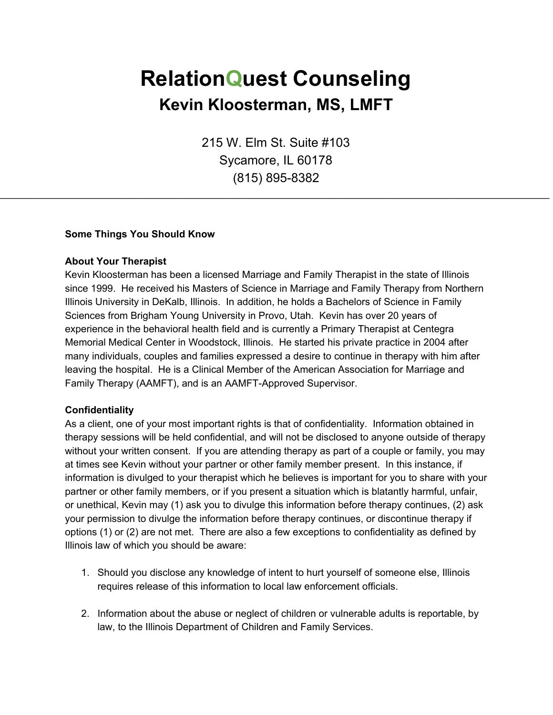# **RelationQuest Counseling Kevin Kloosterman, MS, LMFT**

215 W. Elm St. Suite #103 Sycamore, IL 60178 (815) 895-8382

\_\_\_\_\_\_\_\_\_\_\_\_\_\_\_\_\_\_\_\_\_\_\_\_\_\_\_\_\_\_\_\_\_\_\_\_\_\_\_\_\_\_\_\_\_\_\_\_\_\_\_\_\_\_\_\_\_\_\_\_\_\_\_\_\_\_\_\_\_\_\_\_\_\_\_\_\_\_\_\_\_\_\_\_\_\_\_\_\_\_\_\_\_\_\_\_\_\_\_\_

#### **Some Things You Should Know**

#### **About Your Therapist**

Kevin Kloosterman has been a licensed Marriage and Family Therapist in the state of Illinois since 1999. He received his Masters of Science in Marriage and Family Therapy from Northern Illinois University in DeKalb, Illinois. In addition, he holds a Bachelors of Science in Family Sciences from Brigham Young University in Provo, Utah. Kevin has over 20 years of experience in the behavioral health field and is currently a Primary Therapist at Centegra Memorial Medical Center in Woodstock, Illinois. He started his private practice in 2004 after many individuals, couples and families expressed a desire to continue in therapy with him after leaving the hospital. He is a Clinical Member of the American Association for Marriage and Family Therapy (AAMFT), and is an AAMFT-Approved Supervisor.

#### **Confidentiality**

As a client, one of your most important rights is that of confidentiality. Information obtained in therapy sessions will be held confidential, and will not be disclosed to anyone outside of therapy without your written consent. If you are attending therapy as part of a couple or family, you may at times see Kevin without your partner or other family member present. In this instance, if information is divulged to your therapist which he believes is important for you to share with your partner or other family members, or if you present a situation which is blatantly harmful, unfair, or unethical, Kevin may (1) ask you to divulge this information before therapy continues, (2) ask your permission to divulge the information before therapy continues, or discontinue therapy if options (1) or (2) are not met. There are also a few exceptions to confidentiality as defined by Illinois law of which you should be aware:

- 1. Should you disclose any knowledge of intent to hurt yourself of someone else, Illinois requires release of this information to local law enforcement officials.
- 2. Information about the abuse or neglect of children or vulnerable adults is reportable, by law, to the Illinois Department of Children and Family Services.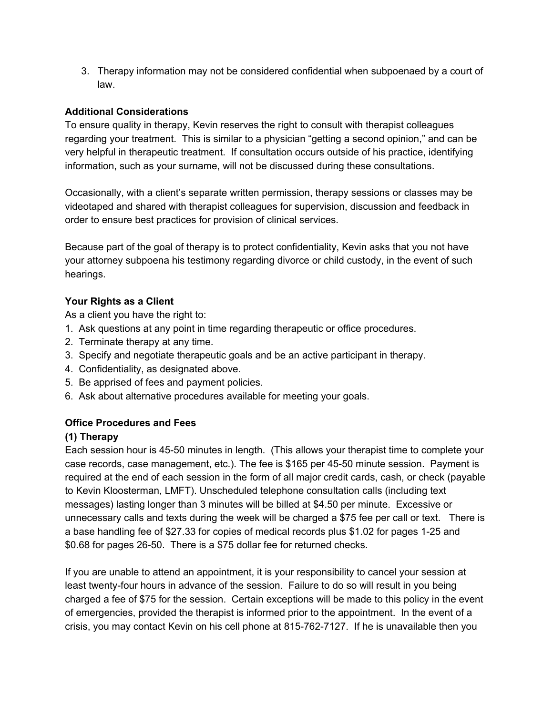3. Therapy information may not be considered confidential when subpoenaed by a court of law.

## **Additional Considerations**

To ensure quality in therapy, Kevin reserves the right to consult with therapist colleagues regarding your treatment. This is similar to a physician "getting a second opinion," and can be very helpful in therapeutic treatment. If consultation occurs outside of his practice, identifying information, such as your surname, will not be discussed during these consultations.

Occasionally, with a client's separate written permission, therapy sessions or classes may be videotaped and shared with therapist colleagues for supervision, discussion and feedback in order to ensure best practices for provision of clinical services.

Because part of the goal of therapy is to protect confidentiality, Kevin asks that you not have your attorney subpoena his testimony regarding divorce or child custody, in the event of such hearings.

# **Your Rights as a Client**

As a client you have the right to:

- 1. Ask questions at any point in time regarding therapeutic or office procedures.
- 2. Terminate therapy at any time.
- 3. Specify and negotiate therapeutic goals and be an active participant in therapy.
- 4. Confidentiality, as designated above.
- 5. Be apprised of fees and payment policies.
- 6. Ask about alternative procedures available for meeting your goals.

# **Office Procedures and Fees**

## **(1) Therapy**

Each session hour is 45-50 minutes in length. (This allows your therapist time to complete your case records, case management, etc.). The fee is \$165 per 45-50 minute session. Payment is required at the end of each session in the form of all major credit cards, cash, or check (payable to Kevin Kloosterman, LMFT). Unscheduled telephone consultation calls (including text messages) lasting longer than 3 minutes will be billed at \$4.50 per minute. Excessive or unnecessary calls and texts during the week will be charged a \$75 fee per call or text. There is a base handling fee of \$27.33 for copies of medical records plus \$1.02 for pages 1-25 and \$0.68 for pages 26-50. There is a \$75 dollar fee for returned checks.

If you are unable to attend an appointment, it is your responsibility to cancel your session at least twenty-four hours in advance of the session. Failure to do so will result in you being charged a fee of \$75 for the session. Certain exceptions will be made to this policy in the event of emergencies, provided the therapist is informed prior to the appointment. In the event of a crisis, you may contact Kevin on his cell phone at 815-762-7127. If he is unavailable then you